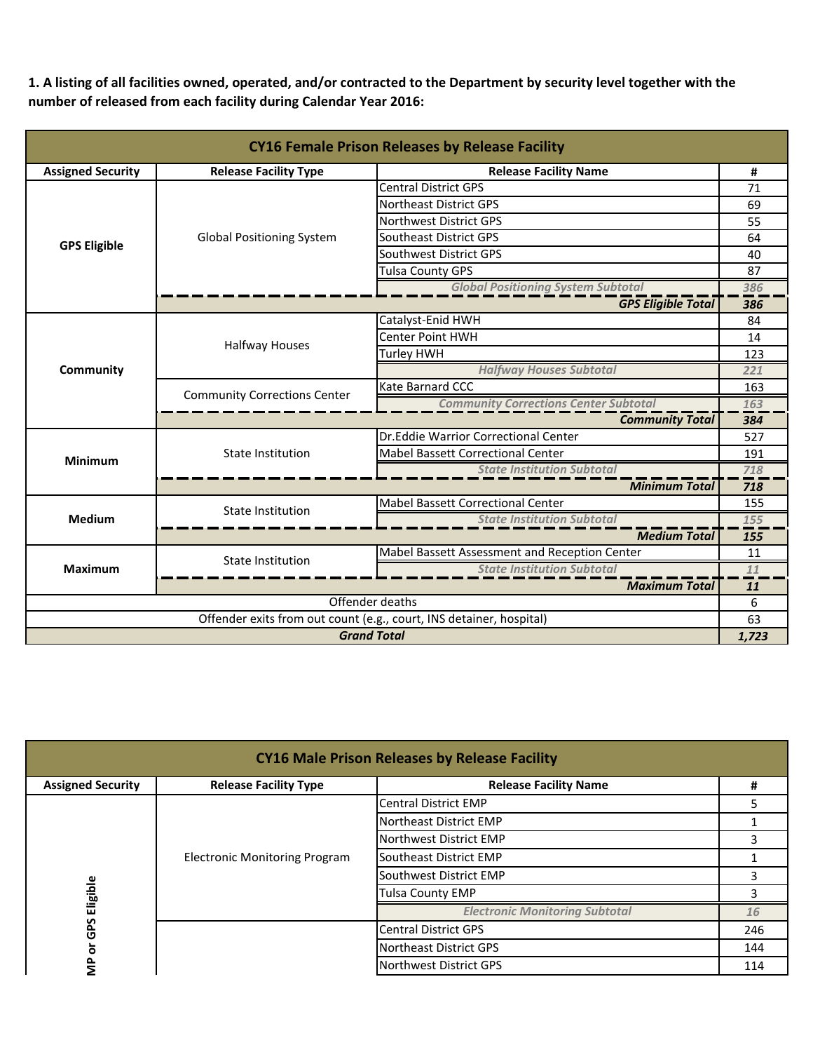**1. A listing of all facilities owned, operated, and/or contracted to the Department by security level together with the number of released from each facility during Calendar Year 2016:**

| <b>CY16 Female Prison Releases by Release Facility</b>              |                                                              |                                               |       |  |
|---------------------------------------------------------------------|--------------------------------------------------------------|-----------------------------------------------|-------|--|
| <b>Assigned Security</b>                                            | <b>Release Facility Type</b><br><b>Release Facility Name</b> |                                               |       |  |
|                                                                     |                                                              | <b>Central District GPS</b>                   | 71    |  |
|                                                                     |                                                              | Northeast District GPS                        | 69    |  |
|                                                                     |                                                              | Northwest District GPS                        | 55    |  |
| <b>GPS Eligible</b>                                                 | <b>Global Positioning System</b>                             | Southeast District GPS                        | 64    |  |
|                                                                     |                                                              | Southwest District GPS                        | 40    |  |
|                                                                     |                                                              | <b>Tulsa County GPS</b>                       | 87    |  |
|                                                                     |                                                              | <b>Global Positioning System Subtotal</b>     | 386   |  |
|                                                                     |                                                              | <b>GPS Eligible Total</b>                     | 386   |  |
|                                                                     |                                                              | Catalyst-Enid HWH                             | 84    |  |
|                                                                     | <b>Halfway Houses</b>                                        | <b>Center Point HWH</b>                       | 14    |  |
|                                                                     |                                                              | <b>Turley HWH</b>                             | 123   |  |
| Community                                                           |                                                              | <b>Halfway Houses Subtotal</b>                | 221   |  |
|                                                                     | <b>Community Corrections Center</b>                          | Kate Barnard CCC                              | 163   |  |
|                                                                     |                                                              | <b>Community Corrections Center Subtotal</b>  | 163   |  |
|                                                                     |                                                              | <b>Community Total</b>                        | 384   |  |
|                                                                     | State Institution                                            | Dr.Eddie Warrior Correctional Center          | 527   |  |
| <b>Minimum</b>                                                      |                                                              | <b>Mabel Bassett Correctional Center</b>      | 191   |  |
|                                                                     |                                                              | <b>State Institution Subtotal</b>             | 718   |  |
|                                                                     |                                                              | <b>Minimum Total</b>                          | 718   |  |
|                                                                     | <b>State Institution</b>                                     | <b>Mabel Bassett Correctional Center</b>      | 155   |  |
| <b>Medium</b>                                                       |                                                              | <b>State Institution Subtotal</b>             | 155   |  |
|                                                                     |                                                              | <b>Medium Total</b>                           | 155   |  |
|                                                                     | <b>State Institution</b>                                     | Mabel Bassett Assessment and Reception Center | 11    |  |
| <b>Maximum</b>                                                      |                                                              | <b>State Institution Subtotal</b>             | 11    |  |
|                                                                     |                                                              | <b>Maximum Total</b>                          | 11    |  |
| Offender deaths                                                     |                                                              |                                               | 6     |  |
| Offender exits from out count (e.g., court, INS detainer, hospital) |                                                              |                                               | 63    |  |
| <b>Grand Total</b>                                                  |                                                              |                                               | 1,723 |  |

| <b>CY16 Male Prison Releases by Release Facility</b> |                                      |                                       |     |
|------------------------------------------------------|--------------------------------------|---------------------------------------|-----|
| <b>Assigned Security</b>                             | <b>Release Facility Type</b>         | <b>Release Facility Name</b>          | #   |
|                                                      |                                      | <b>Central District EMP</b>           |     |
|                                                      |                                      | Northeast District EMP                |     |
|                                                      | <b>Electronic Monitoring Program</b> | Northwest District EMP                |     |
|                                                      |                                      | Southeast District EMP                |     |
|                                                      |                                      | Southwest District EMP                |     |
| Eligible                                             |                                      | <b>Tulsa County EMP</b>               |     |
|                                                      |                                      | <b>Electronic Monitoring Subtotal</b> | 16  |
| GPS<br>৯                                             |                                      | <b>Central District GPS</b>           | 246 |
|                                                      |                                      | Northeast District GPS                | 144 |
| $\frac{P}{\sum}$                                     |                                      | Northwest District GPS                | 114 |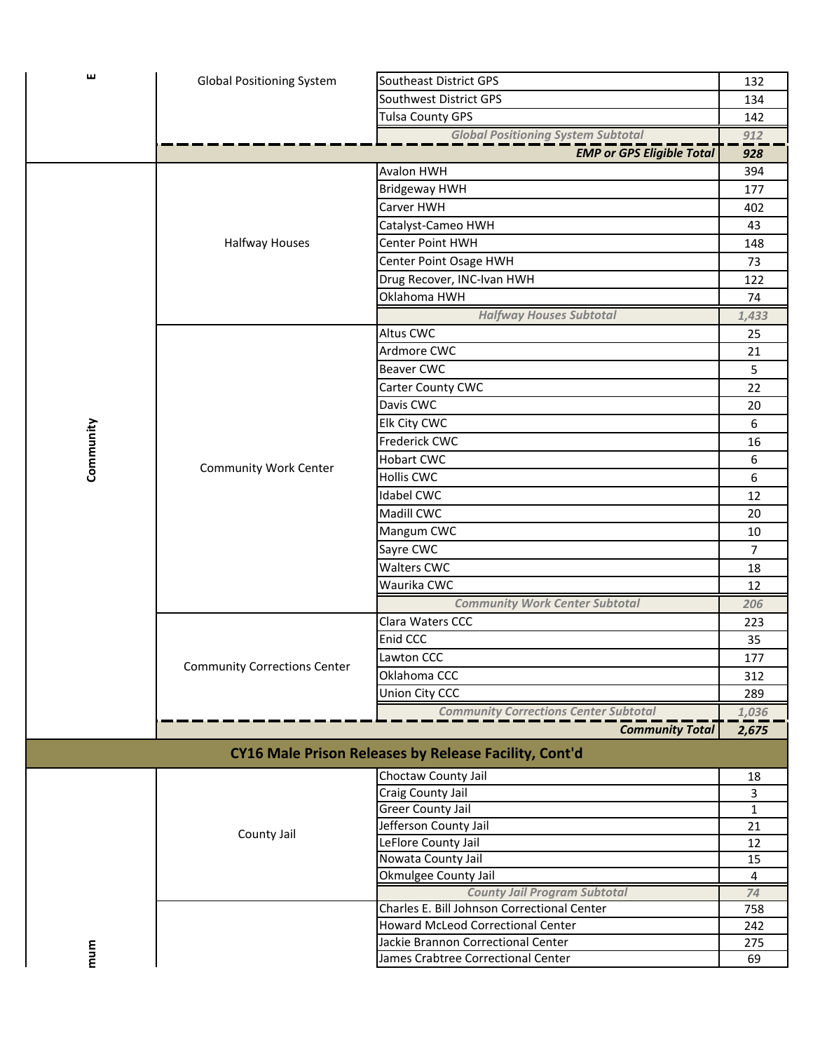| 画         | <b>Global Positioning System</b>    | Southeast District GPS                                | 132          |
|-----------|-------------------------------------|-------------------------------------------------------|--------------|
|           |                                     | Southwest District GPS                                | 134          |
|           |                                     | <b>Tulsa County GPS</b>                               |              |
|           |                                     | <b>Global Positioning System Subtotal</b>             | 142<br>912   |
|           |                                     | <b>EMP or GPS Eligible Total</b>                      | 928          |
|           |                                     | Avalon HWH                                            | 394          |
|           |                                     | <b>Bridgeway HWH</b>                                  | 177          |
|           |                                     | Carver HWH                                            | 402          |
|           |                                     | Catalyst-Cameo HWH                                    | 43           |
|           | <b>Halfway Houses</b>               | <b>Center Point HWH</b>                               | 148          |
|           |                                     | Center Point Osage HWH                                | 73           |
|           |                                     |                                                       | 122          |
|           |                                     | Drug Recover, INC-Ivan HWH<br>Oklahoma HWH            |              |
|           |                                     |                                                       | 74           |
|           |                                     | <b>Halfway Houses Subtotal</b><br>Altus CWC           | 1,433        |
|           |                                     |                                                       | 25           |
|           |                                     | Ardmore CWC                                           | 21           |
|           |                                     | <b>Beaver CWC</b>                                     | 5            |
|           |                                     | Carter County CWC                                     | 22           |
|           |                                     | Davis CWC                                             | 20           |
| Community |                                     | Elk City CWC                                          | 6            |
|           |                                     | Frederick CWC                                         | 16           |
|           | <b>Community Work Center</b>        | <b>Hobart CWC</b>                                     | 6            |
|           |                                     | <b>Hollis CWC</b>                                     | 6            |
|           |                                     | Idabel CWC                                            | 12           |
|           |                                     | Madill CWC                                            | 20           |
|           |                                     | Mangum CWC                                            | 10           |
|           |                                     | Sayre CWC                                             | 7            |
|           |                                     | <b>Walters CWC</b>                                    | 18           |
|           |                                     | Waurika CWC                                           | 12           |
|           |                                     | <b>Community Work Center Subtotal</b>                 | 206          |
|           |                                     | Clara Waters CCC                                      | 223          |
|           |                                     | Enid CCC                                              | 35           |
|           |                                     | Lawton CCC                                            | 177          |
|           | <b>Community Corrections Center</b> | Oklahoma CCC                                          | 312          |
|           |                                     | Union City CCC                                        | 289          |
|           |                                     | <b>Community Corrections Center Subtotal</b>          | 1,036        |
|           |                                     | <b>Community Total</b>                                | 2,675        |
|           |                                     | CY16 Male Prison Releases by Release Facility, Cont'd |              |
|           |                                     | Choctaw County Jail                                   | 18           |
|           |                                     | Craig County Jail                                     | 3            |
|           |                                     | Greer County Jail                                     | $\mathbf{1}$ |
|           |                                     | Jefferson County Jail                                 | 21           |
|           | County Jail                         | LeFlore County Jail                                   | 12           |
|           |                                     | Nowata County Jail                                    | 15           |
|           |                                     | Okmulgee County Jail                                  | 4            |
|           |                                     | <b>County Jail Program Subtotal</b>                   | 74           |
|           |                                     | Charles E. Bill Johnson Correctional Center           | 758          |
|           |                                     | <b>Howard McLeod Correctional Center</b>              | 242          |
| mum       |                                     | Jackie Brannon Correctional Center                    | 275          |
|           |                                     | James Crabtree Correctional Center                    | 69           |
|           |                                     |                                                       |              |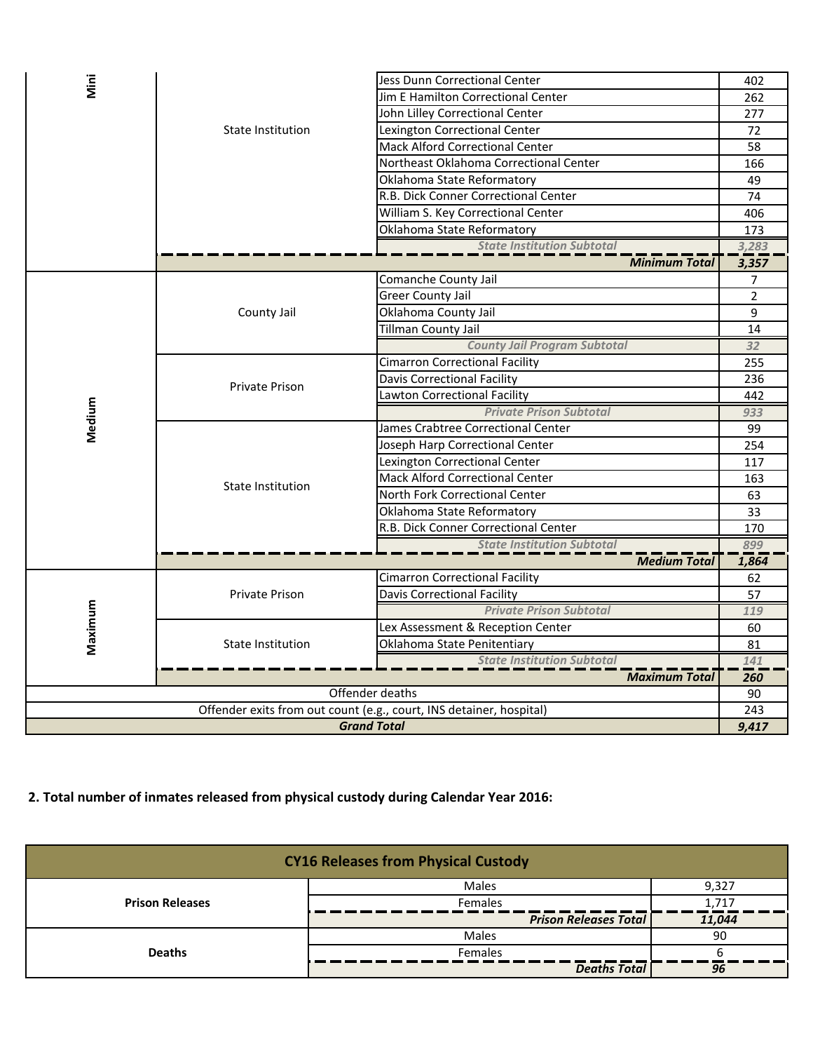| Mini                                                                |                       | Jess Dunn Correctional Center                                | 402             |
|---------------------------------------------------------------------|-----------------------|--------------------------------------------------------------|-----------------|
|                                                                     |                       | Jim E Hamilton Correctional Center                           | 262             |
|                                                                     | State Institution     | John Lilley Correctional Center                              | 277             |
|                                                                     |                       | Lexington Correctional Center                                | 72              |
|                                                                     |                       | <b>Mack Alford Correctional Center</b>                       | 58              |
|                                                                     |                       | Northeast Oklahoma Correctional Center                       | 166             |
|                                                                     |                       | Oklahoma State Reformatory                                   | 49              |
|                                                                     |                       | R.B. Dick Conner Correctional Center                         | 74              |
|                                                                     |                       | William S. Key Correctional Center                           | 406             |
|                                                                     |                       | Oklahoma State Reformatory                                   | 173             |
|                                                                     |                       | <b>State Institution Subtotal</b>                            | 3,283           |
|                                                                     |                       | <b>Minimum Total</b>                                         | 3,357           |
|                                                                     |                       | Comanche County Jail                                         | 7               |
|                                                                     |                       | <b>Greer County Jail</b>                                     | $\overline{2}$  |
|                                                                     | County Jail           | Oklahoma County Jail                                         | 9               |
|                                                                     |                       | Tillman County Jail                                          | 14              |
|                                                                     |                       | <b>County Jail Program Subtotal</b>                          | 32              |
|                                                                     | Private Prison        | <b>Cimarron Correctional Facility</b>                        | 255             |
|                                                                     |                       | <b>Davis Correctional Facility</b>                           | 236             |
|                                                                     |                       | Lawton Correctional Facility                                 | 442             |
|                                                                     |                       | <b>Private Prison Subtotal</b>                               | 933             |
| Medium                                                              | State Institution     | James Crabtree Correctional Center                           | 99              |
|                                                                     |                       | Joseph Harp Correctional Center                              | 254             |
|                                                                     |                       | Lexington Correctional Center                                | 117             |
|                                                                     |                       | <b>Mack Alford Correctional Center</b>                       | 163             |
|                                                                     |                       | North Fork Correctional Center                               | 63              |
|                                                                     |                       | Oklahoma State Reformatory                                   | $\overline{33}$ |
|                                                                     |                       | R.B. Dick Conner Correctional Center                         | 170             |
|                                                                     |                       | <b>State Institution Subtotal</b>                            | 899             |
|                                                                     |                       | <b>Medium Total</b><br><b>Cimarron Correctional Facility</b> | 1,864<br>62     |
|                                                                     | <b>Private Prison</b> | Davis Correctional Facility                                  | 57              |
| Maximum                                                             |                       | <b>Private Prison Subtotal</b>                               | 119             |
|                                                                     |                       | Lex Assessment & Reception Center                            | 60              |
|                                                                     | State Institution     | Oklahoma State Penitentiary                                  | 81              |
|                                                                     |                       | <b>State Institution Subtotal</b>                            | 141             |
|                                                                     | <b>Maximum Total</b>  |                                                              |                 |
| Offender deaths                                                     |                       |                                                              | 260<br>90       |
| Offender exits from out count (e.g., court, INS detainer, hospital) |                       |                                                              | 243             |
|                                                                     |                       | <b>Grand Total</b>                                           | 9,417           |
|                                                                     |                       |                                                              |                 |

## **2. Total number of inmates released from physical custody during Calendar Year 2016:**

| <b>CY16 Releases from Physical Custody</b> |                              |        |
|--------------------------------------------|------------------------------|--------|
|                                            | Males                        | 9,327  |
| <b>Prison Releases</b>                     | <b>Females</b>               | 1.71   |
|                                            | <b>Prison Releases Total</b> | 11.044 |
|                                            | Males                        | 90     |
| <b>Deaths</b>                              | <b>Females</b>               |        |
|                                            | <b>Deaths Total</b>          | 96     |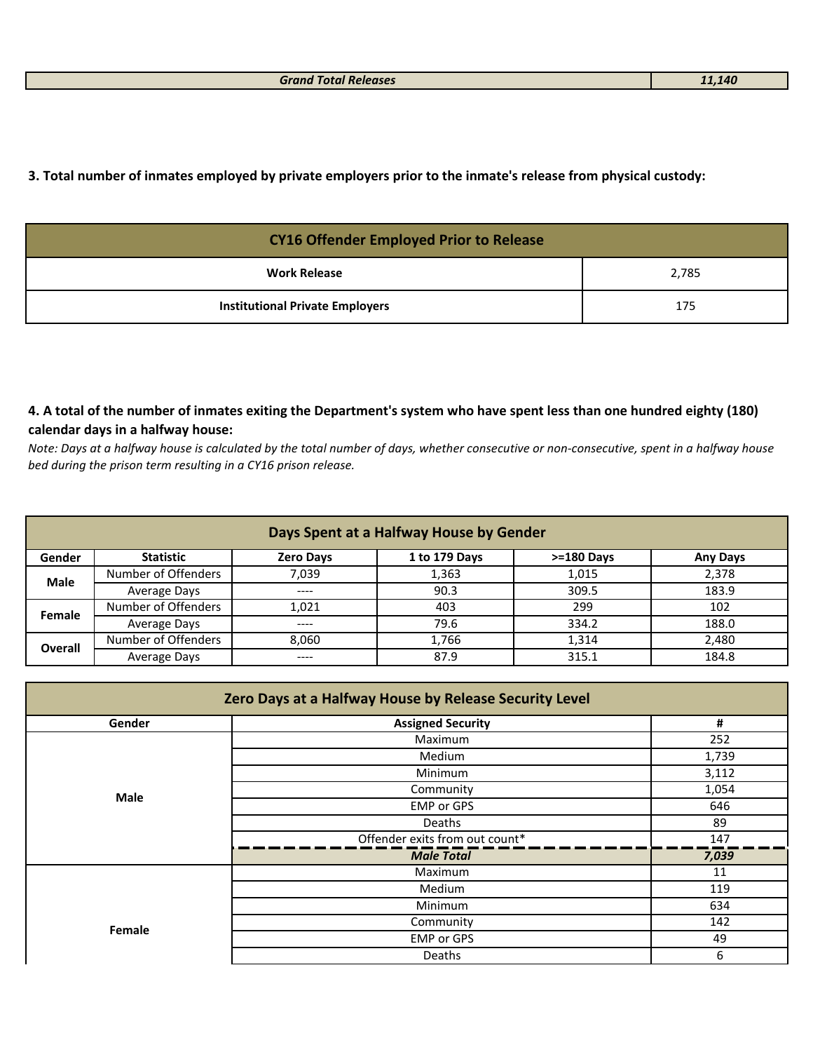**3. Total number of inmates employed by private employers prior to the inmate's release from physical custody:**

| <b>CY16 Offender Employed Prior to Release</b> |       |
|------------------------------------------------|-------|
| <b>Work Release</b>                            | 2,785 |
| <b>Institutional Private Employers</b>         | 175   |

## **4. A total of the number of inmates exiting the Department's system who have spent less than one hundred eighty (180) calendar days in a halfway house:**

*Note: Days at a halfway house is calculated by the total number of days, whether consecutive or non-consecutive, spent in a halfway house bed during the prison term resulting in a CY16 prison release.*

| Days Spent at a Halfway House by Gender |                     |                  |               |                |                 |
|-----------------------------------------|---------------------|------------------|---------------|----------------|-----------------|
| Gender                                  | <b>Statistic</b>    | <b>Zero Days</b> | 1 to 179 Days | $> = 180$ Days | <b>Any Days</b> |
| <b>Male</b>                             | Number of Offenders | 7,039            | 1,363         | 1,015          | 2,378           |
|                                         | Average Days        | ----             | 90.3          | 309.5          | 183.9           |
| Female                                  | Number of Offenders | 1.021            | 403           | 299            | 102             |
|                                         | Average Days        | $- - - -$        | 79.6          | 334.2          | 188.0           |
| <b>Overall</b>                          | Number of Offenders | 8.060            | 1.766         | 1.314          | 2.480           |
|                                         | Average Days        | ----             | 87.9          | 315.1          | 184.8           |

| Zero Days at a Halfway House by Release Security Level |                                |       |  |
|--------------------------------------------------------|--------------------------------|-------|--|
| Gender                                                 | <b>Assigned Security</b>       | #     |  |
|                                                        | Maximum                        | 252   |  |
|                                                        | Medium                         | 1,739 |  |
|                                                        | Minimum                        | 3,112 |  |
| Male                                                   | Community                      | 1,054 |  |
|                                                        | <b>EMP or GPS</b>              | 646   |  |
|                                                        | Deaths                         | 89    |  |
|                                                        | Offender exits from out count* | 147   |  |
|                                                        | <b>Male Total</b>              | 7,039 |  |
|                                                        | Maximum                        | 11    |  |
|                                                        | Medium                         | 119   |  |
|                                                        | Minimum                        | 634   |  |
| Female                                                 | Community                      | 142   |  |
|                                                        | <b>EMP or GPS</b>              | 49    |  |
|                                                        | Deaths                         | 6     |  |